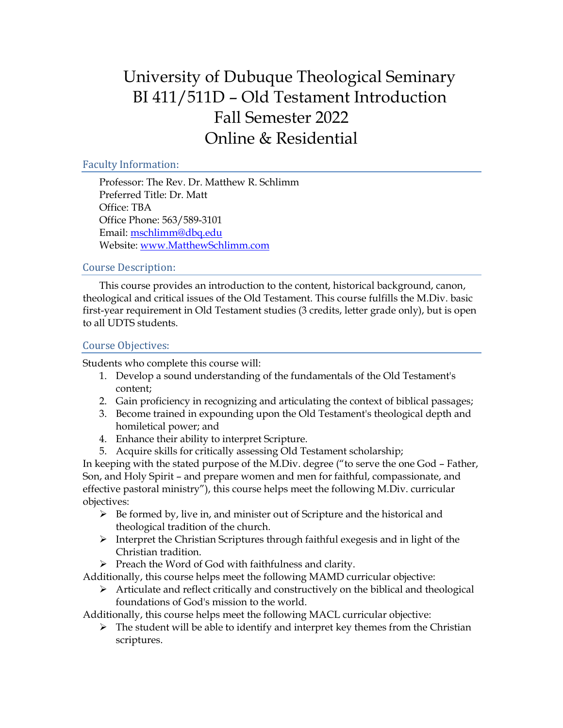# University of Dubuque Theological Seminary BI 411/511D – Old Testament Introduction Fall Semester 2022 Online & Residential

## Faculty Information:

Professor: The Rev. Dr. Matthew R. Schlimm Preferred Title: Dr. Matt Office: TBA Office Phone: 563/589-3101 Email: [mschlimm@dbq.edu](mailto:mschlimm@dbq.edu) Website[: www.MatthewSchlimm.com](http://www.matthewschlimm.com/)

### Course Description:

This course provides an introduction to the content, historical background, canon, theological and critical issues of the Old Testament. This course fulfills the M.Div. basic first-year requirement in Old Testament studies (3 credits, letter grade only), but is open to all UDTS students.

### Course Objectives:

Students who complete this course will:

- 1. Develop a sound understanding of the fundamentals of the Old Testament's content;
- 2. Gain proficiency in recognizing and articulating the context of biblical passages;
- 3. Become trained in expounding upon the Old Testament's theological depth and homiletical power; and
- 4. Enhance their ability to interpret Scripture.
- 5. Acquire skills for critically assessing Old Testament scholarship;

In keeping with the stated purpose of the M.Div. degree ("to serve the one God – Father, Son, and Holy Spirit – and prepare women and men for faithful, compassionate, and effective pastoral ministry"), this course helps meet the following M.Div. curricular objectives:

- $\triangleright$  Be formed by, live in, and minister out of Scripture and the historical and theological tradition of the church.
- $\triangleright$  Interpret the Christian Scriptures through faithful exegesis and in light of the Christian tradition.
- ➢ Preach the Word of God with faithfulness and clarity.

Additionally, this course helps meet the following MAMD curricular objective:

 $\triangleright$  Articulate and reflect critically and constructively on the biblical and theological foundations of God's mission to the world.

Additionally, this course helps meet the following MACL curricular objective:

 $\triangleright$  The student will be able to identify and interpret key themes from the Christian scriptures.